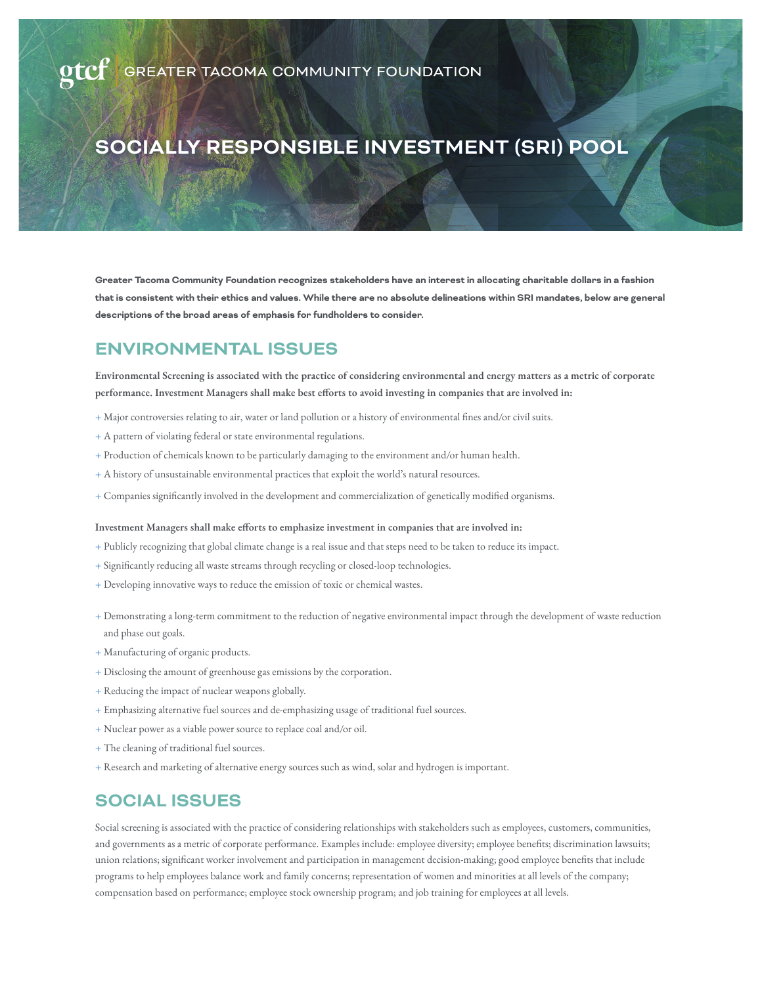# **SOCIALLY RESPONSIBLE INVESTMENT (SRI) POOL**

**Greater Tacoma Community Foundation recognizes stakeholders have an interest in allocating charitable dollars in a fashion that is consistent with their ethics and values. While there are no absolute delineations within SRI mandates, below are general descriptions of the broad areas of emphasis for fundholders to consider.** 

# **ENVIRONMENTAL ISSUES**

**Environmental Screening is associated with the practice of considering environmental and energy matters as a metric of corporate performance. Investment Managers shall make best efforts to avoid investing in companies that are involved in:** 

- + Major controversies relating to air, water or land pollution or a history of environmental fines and/or civil suits.
- + A pattern of violating federal or state environmental regulations.
- + Production of chemicals known to be particularly damaging to the environment and/or human health.
- + A history of unsustainable environmental practices that exploit the world's natural resources.
- + Companies significantly involved in the development and commercialization of genetically modified organisms.

### **Investment Managers shall make efforts to emphasize investment in companies that are involved in:**

- + Publicly recognizing that global climate change is a real issue and that steps need to be taken to reduce its impact.
- + Significantly reducing all waste streams through recycling or closed-loop technologies.
- + Developing innovative ways to reduce the emission of toxic or chemical wastes.
- + Demonstrating a long-term commitment to the reduction of negative environmental impact through the development of waste reduction and phase out goals.
- + Manufacturing of organic products.
- + Disclosing the amount of greenhouse gas emissions by the corporation.
- + Reducing the impact of nuclear weapons globally.
- + Emphasizing alternative fuel sources and de-emphasizing usage of traditional fuel sources.
- + Nuclear power as a viable power source to replace coal and/or oil.
- + The cleaning of traditional fuel sources.
- + Research and marketing of alternative energy sources such as wind, solar and hydrogen is important.

# **SOCIAL ISSUES**

Social screening is associated with the practice of considering relationships with stakeholders such as employees, customers, communities, and governments as a metric of corporate performance. Examples include: employee diversity; employee benefits; discrimination lawsuits; union relations; significant worker involvement and participation in management decision-making; good employee benefits that include programs to help employees balance work and family concerns; representation of women and minorities at all levels of the company; compensation based on performance; employee stock ownership program; and job training for employees at all levels.